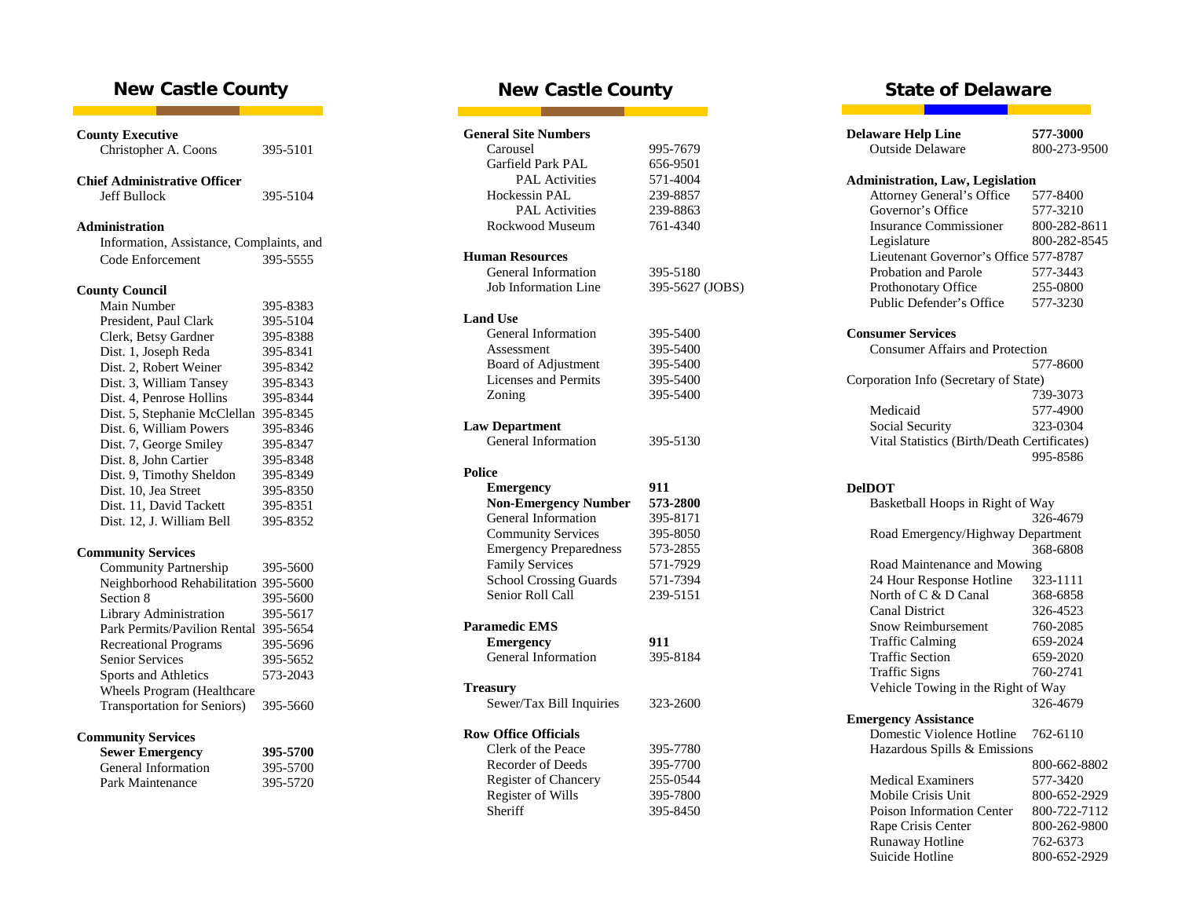## **New Castle County**

| <b>County Executive</b><br>Christopher A. Coons | 395-5101 |
|-------------------------------------------------|----------|
| <b>Chief Administrative Officer</b>             |          |
| <b>Jeff Bullock</b>                             | 395-5104 |
| <b>Administration</b>                           |          |
| Information, Assistance, Complaints, and        |          |
| Code Enforcement                                | 395-5555 |
|                                                 |          |
| <b>County Council</b>                           |          |
| Main Number                                     | 395-8383 |
| President, Paul Clark                           | 395-5104 |
| Clerk, Betsy Gardner                            | 395-8388 |
| Dist. 1, Joseph Reda                            | 395-8341 |
| Dist. 2, Robert Weiner                          | 395-8342 |
| Dist. 3, William Tansey                         | 395-8343 |
| Dist. 4, Penrose Hollins                        | 395-8344 |
| Dist. 5, Stephanie McClellan 395-8345           |          |
| Dist. 6, William Powers                         | 395-8346 |
| Dist. 7, George Smiley                          | 395-8347 |
| Dist. 8, John Cartier                           | 395-8348 |
| Dist. 9, Timothy Sheldon                        | 395-8349 |
| Dist. 10, Jea Street                            | 395-8350 |
| Dist. 11, David Tackett                         | 395-8351 |
| Dist. 12, J. William Bell                       | 395-8352 |
| <b>Community Services</b>                       |          |
| <b>Community Partnership</b>                    | 395-5600 |
| Neighborhood Rehabilitation 395-5600            |          |
| Section 8                                       | 395-5600 |
| Library Administration                          | 395-5617 |
| Park Permits/Pavilion Rental                    | 395-5654 |
| <b>Recreational Programs</b>                    | 395-5696 |
| <b>Senior Services</b>                          | 395-5652 |
| Sports and Athletics                            | 573-2043 |
| Wheels Program (Healthcare                      |          |
| <b>Transportation for Seniors)</b>              | 395-5660 |
| <b>Community Services</b>                       |          |
| <b>Sewer Emergency</b>                          | 395-5700 |
| General Information                             | 395-5700 |
| Park Maintenance                                | 395-5720 |
|                                                 |          |

# **New Castle County**

**The Co** 

|                       | <b>General Site Numbers</b>               |                 |  |
|-----------------------|-------------------------------------------|-----------------|--|
| Carousel              |                                           | 995-7679        |  |
|                       | Garfield Park PAL                         | 656-9501        |  |
|                       | <b>PAL Activities</b>                     | 571-4004        |  |
|                       | Hockessin PAL                             | 239-8857        |  |
|                       | <b>PAL</b> Activities                     | 239-8863        |  |
|                       | Rockwood Museum                           | 761-4340        |  |
|                       | <b>Human Resources</b>                    |                 |  |
|                       | General Information                       | 395-5180        |  |
|                       | Job Information Line                      | 395-5627 (JOBS) |  |
| <b>Land Use</b>       |                                           |                 |  |
|                       | General Information                       | 395-5400        |  |
|                       | Assessment                                | 395-5400        |  |
|                       | Board of Adjustment                       | 395-5400        |  |
|                       | <b>Licenses</b> and Permits               | 395-5400        |  |
| Zoning                |                                           | 395-5400        |  |
|                       |                                           |                 |  |
| <b>Law Department</b> |                                           |                 |  |
|                       | General Information                       | 395-5130        |  |
| <b>Police</b>         |                                           |                 |  |
|                       |                                           |                 |  |
|                       | <b>Emergency</b>                          | 911             |  |
|                       | <b>Non-Emergency Number</b>               | 573-2800        |  |
|                       | General Information                       | 395-8171        |  |
|                       | <b>Community Services</b>                 | 395-8050        |  |
|                       | <b>Emergency Preparedness</b>             | 573-2855        |  |
|                       | <b>Family Services</b>                    | 571-7929        |  |
|                       | <b>School Crossing Guards</b>             | 571-7394        |  |
|                       | Senior Roll Call                          | 239-5151        |  |
| <b>Paramedic EMS</b>  |                                           |                 |  |
|                       | <b>Emergency</b>                          | 911             |  |
|                       | General Information                       | 395-8184        |  |
|                       |                                           |                 |  |
| Treasury              | Sewer/Tax Bill Inquiries                  | 323-2600        |  |
|                       | <b>Row Office Officials</b>               |                 |  |
|                       | Clerk of the Peace                        | 395-7780        |  |
|                       | Recorder of Deeds                         | 395-7700        |  |
|                       |                                           | 255-0544        |  |
|                       | Register of Chancery<br>Register of Wills | 395-7800        |  |
| Sheriff               |                                           | 395-8450        |  |

## **State of Delaware**

| <b>Delaware Help Line</b>                   | 577-3000     |
|---------------------------------------------|--------------|
| <b>Outside Delaware</b>                     | 800-273-9500 |
|                                             |              |
| <b>Administration, Law, Legislation</b>     |              |
| <b>Attorney General's Office</b>            | 577-8400     |
| Governor's Office                           | 577-3210     |
| <b>Insurance Commissioner</b>               | 800-282-8611 |
| Legislature                                 | 800-282-8545 |
| Lieutenant Governor's Office 577-8787       |              |
| <b>Probation and Parole</b>                 | 577-3443     |
| Prothonotary Office                         | 255-0800     |
| Public Defender's Office                    | 577-3230     |
| <b>Consumer Services</b>                    |              |
| <b>Consumer Affairs and Protection</b>      |              |
|                                             | 577-8600     |
| Corporation Info (Secretary of State)       |              |
|                                             | 739-3073     |
| Medicaid                                    | 577-4900     |
| Social Security                             | 323-0304     |
| Vital Statistics (Birth/Death Certificates) |              |
|                                             | 995-8586     |
| <b>DelDOT</b>                               |              |
| Basketball Hoops in Right of Way            |              |
|                                             | 326-4679     |
| Road Emergency/Highway Department           |              |
|                                             | 368-6808     |
| Road Maintenance and Mowing                 |              |
| 24 Hour Response Hotline                    | 323-1111     |
| North of C & D Canal                        | 368-6858     |
| <b>Canal District</b>                       | 326-4523     |
| <b>Snow Reimbursement</b>                   | 760-2085     |
| <b>Traffic Calming</b>                      | 659-2024     |
| <b>Traffic Section</b>                      | 659-2020     |
| <b>Traffic Signs</b>                        | 760-2741     |
| Vehicle Towing in the Right of Way          |              |
|                                             | 326-4679     |
| <b>Emergency Assistance</b>                 |              |
| Domestic Violence Hotline                   | 762-6110     |
| Hazardous Spills & Emissions                |              |
|                                             | 800-662-8802 |
| <b>Medical Examiners</b>                    | 577-3420     |
| Mobile Crisis Unit                          | 800-652-2929 |
| Poison Information Center                   | 800-722-7112 |
| Rape Crisis Center                          | 800-262-9800 |
| Runaway Hotline                             | 762-6373     |
| Suicide Hotline                             | 800-652-2929 |
|                                             |              |